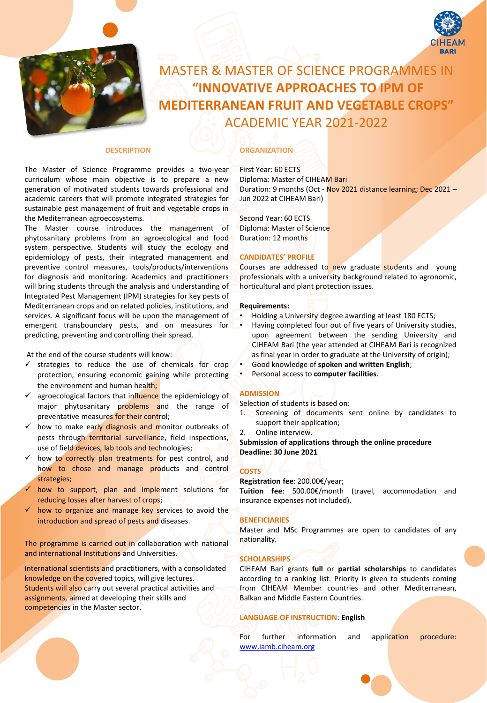

# MASTER & MASTER OF SCIENCE PROGRAMMES IN **"INNOVATIVE APPROACHES TO IPM OF MEDITERRANEAN FRUIT AND VEGETABLE CROPS"** ACADEMIC YEAR 2021-2022

## **DESCRIPTION**

The Master of Science Programme provides a two-year curriculum whose main objective is to prepare a new generation of motivated students towards professional and academic careers that will promote integrated strategies for sustainable pest management of fruit and vegetable crops in the Mediterranean agroecosystems.

The Master course introduces the management of phytosanitary problems from an agroecological and food system perspective. Students will study the ecology and epidemiology of pests, their integrated management and preventive control measures, tools/products/interventions for diagnosis and monitoring. Academics and practitioners will bring students through the analysis and understanding of Integrated Pest Management (IPM) strategies for key pests of Mediterranean crops and on related policies, institutions, and services. A significant focus will be upon the management of emergent transboundary pests, and on measures for predicting, preventing and controlling their spread.

At the end of the course students will know:

- ✓ strategies to reduce the use of chemicals for crop protection, ensuring economic gaining while protecting the environment and human health;
- agroecological factors that influence the epidemiology of major phytosanitary problems and the range of preventative measures for their control;
- ✓ how to make early diagnosis and monitor outbreaks of pests through territorial surveillance, field inspections, use of field devices, lab tools and technologies;
- $\checkmark$  how to correctly plan treatments for pest control, and how to chose and manage products and control strategies;
- how to support, plan and implement solutions for reducing losses after harvest of crops;
- how to organize and manage key services to avoid the introduction and spread of pests and diseases.

The programme is carried out in collaboration with national and international Institutions and Universities.

International scientists and practitioners, with a consolidated knowledge on the covered topics, will give lectures. Students will also carry out several practical activities and assignments, aimed at developing their skills and competencies in the Master sector.

## **ORGANIZATION**

First Year: 60 ECTS Diploma: Master of CIHEAM Bari Duration: 9 months (Oct - Nov 2021 distance learning; Dec 2021 – Jun 2022 at CIHEAM Bari)

Second Year: 60 ECTS Diploma: Master of Science Duration: 12 months

## **CANDIDATES' PROFILE**

Courses are addressed to new graduate students and young professionals with a university background related to agronomic, horticultural and plant protection issues.

#### **Requirements:**

- Holding a University degree awarding at least 180 ECTS;
- Having completed four out of five years of University studies, upon agreement between the sending University and CIHEAM Bari (the year attended at CIHEAM Bari is recognized as final year in order to graduate at the University of origin);
- Good knowledge of **spoken and written English**;
- Personal access to **computer facilities**.

## **ADMISSION**

Selection of students is based on:

- 1. Screening of documents sent online by candidates to support their application;
- 2. Online interview.

**Submission of applications through the online procedure Deadline: 30 June 2021**

#### **COSTS**

**Registration fee**: 200.00€/year;

**Tuition fee**: 500.00€/month (travel, accommodation and insurance expenses not included).

#### **BENEFICIARIES**

Master and MSc Programmes are open to candidates of any nationality.

## **SCHOLARSHIPS**

CIHEAM Bari grants **full** or **partial scholarships** to candidates according to a ranking list. Priority is given to students coming from CIHEAM Member countries and other Mediterranean, Balkan and Middle Eastern Countries.

### **LANGUAGE OF INSTRUCTION**: **English**

For further information and application procedure: [www.iamb.ciheam.org](http://www.iamb.ciheam.org/)